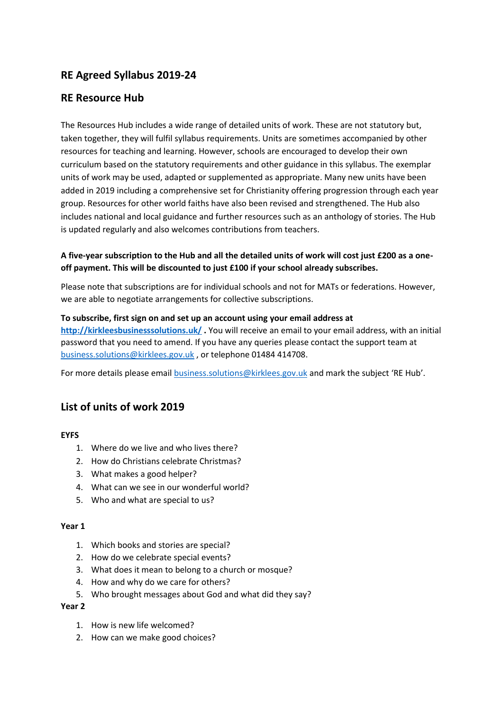# **RE Agreed Syllabus 2019-24**

# **RE Resource Hub**

The Resources Hub includes a wide range of detailed units of work. These are not statutory but, taken together, they will fulfil syllabus requirements. Units are sometimes accompanied by other resources for teaching and learning. However, schools are encouraged to develop their own curriculum based on the statutory requirements and other guidance in this syllabus. The exemplar units of work may be used, adapted or supplemented as appropriate. Many new units have been added in 2019 including a comprehensive set for Christianity offering progression through each year group. Resources for other world faiths have also been revised and strengthened. The Hub also includes national and local guidance and further resources such as an anthology of stories. The Hub is updated regularly and also welcomes contributions from teachers.

# **A five-year subscription to the Hub and all the detailed units of work will cost just £200 as a oneoff payment. This will be discounted to just £100 if your school already subscribes.**

Please note that subscriptions are for individual schools and not for MATs or federations. However, we are able to negotiate arrangements for collective subscriptions.

## **To subscribe, first sign on and set up an account using your email address at**

**<http://kirkleesbusinesssolutions.uk/> .** You will receive an email to your email address, with an initial password that you need to amend. If you have any queries please contact the support team at [business.solutions@kirklees.gov.uk](mailto:business.solutions@kirklees.gov.uk) , or telephone 01484 414708.

For more details please email [business.solutions@kirklees.gov.uk](mailto:business.solutions@kirklees.gov.uk) and mark the subject 'RE Hub'.

# **List of units of work 2019**

#### **EYFS**

- 1. Where do we live and who lives there?
- 2. How do Christians celebrate Christmas?
- 3. What makes a good helper?
- 4. What can we see in our wonderful world?
- 5. Who and what are special to us?

#### **Year 1**

- 1. Which books and stories are special?
- 2. How do we celebrate special events?
- 3. What does it mean to belong to a church or mosque?
- 4. How and why do we care for others?
- 5. Who brought messages about God and what did they say?

#### **Year 2**

- 1. How is new life welcomed?
- 2. How can we make good choices?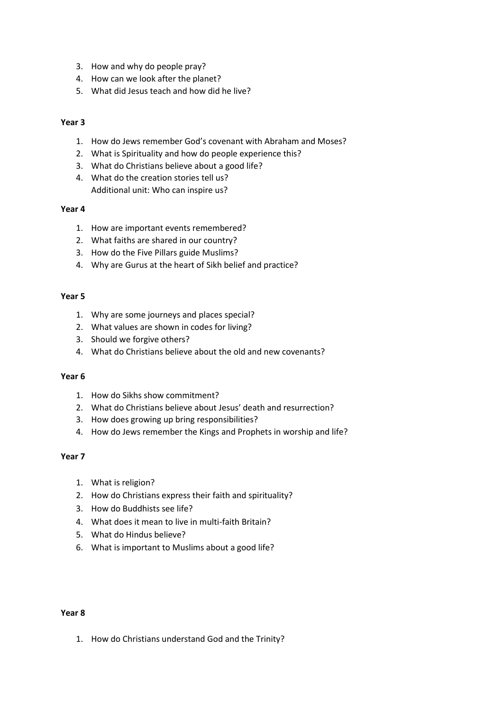- 3. How and why do people pray?
- 4. How can we look after the planet?
- 5. What did Jesus teach and how did he live?

#### **Year 3**

- 1. How do Jews remember God's covenant with Abraham and Moses?
- 2. What is Spirituality and how do people experience this?
- 3. What do Christians believe about a good life?
- 4. What do the creation stories tell us? Additional unit: Who can inspire us?

#### **Year 4**

- 1. How are important events remembered?
- 2. What faiths are shared in our country?
- 3. How do the Five Pillars guide Muslims?
- 4. Why are Gurus at the heart of Sikh belief and practice?

#### **Year 5**

- 1. Why are some journeys and places special?
- 2. What values are shown in codes for living?
- 3. Should we forgive others?
- 4. What do Christians believe about the old and new covenants?

#### **Year 6**

- 1. How do Sikhs show commitment?
- 2. What do Christians believe about Jesus' death and resurrection?
- 3. How does growing up bring responsibilities?
- 4. How do Jews remember the Kings and Prophets in worship and life?

#### **Year 7**

- 1. What is religion?
- 2. How do Christians express their faith and spirituality?
- 3. How do Buddhists see life?
- 4. What does it mean to live in multi-faith Britain?
- 5. What do Hindus believe?
- 6. What is important to Muslims about a good life?

#### **Year 8**

1. How do Christians understand God and the Trinity?